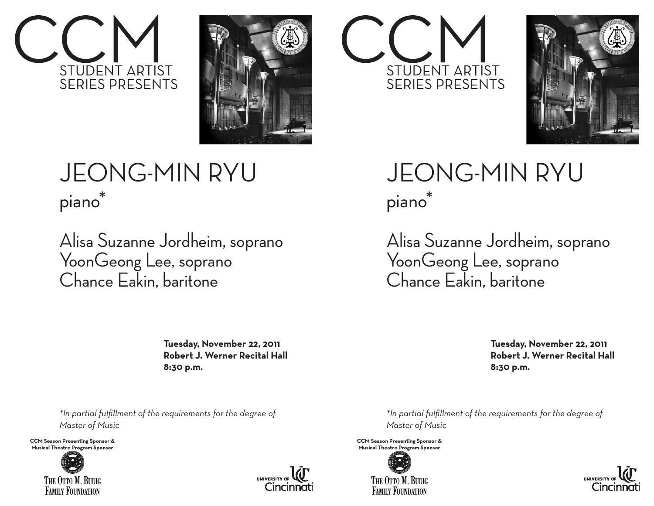



## JEONG-MIN RYU piano\*

Alisa Suzanne Jordheim, soprano YoonGeong Lee, soprano Chance Eakin, baritone

> **Tuesday, November 22, 2011 Robert J. Werner Recital Hall 8:30 p.m.**

*\*In partial fulfillment of the requirements for the degree of Master of Music*

**CCM Season Presenting Sponsor &** Musical Theatre Program Sponsor